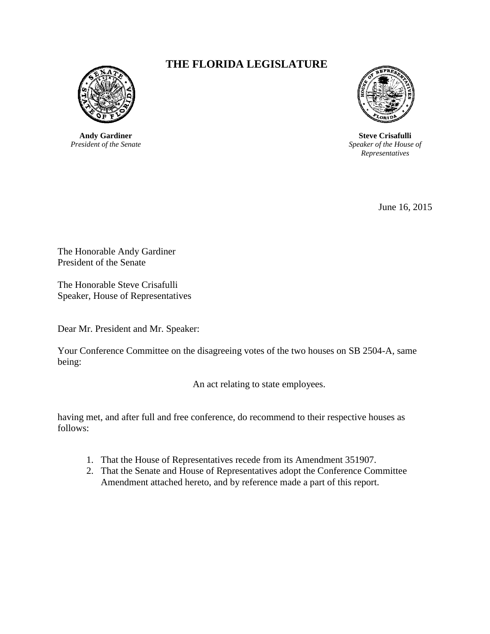

**Andy Gardiner** *President of the Senate*

## **THE FLORIDA LEGISLATURE**



**Steve Crisafulli** *Speaker of the House of Representatives*

June 16, 2015

The Honorable Andy Gardiner President of the Senate

The Honorable Steve Crisafulli Speaker, House of Representatives

Dear Mr. President and Mr. Speaker:

Your Conference Committee on the disagreeing votes of the two houses on SB 2504-A, same being:

An act relating to state employees.

having met, and after full and free conference, do recommend to their respective houses as follows:

- 1. That the House of Representatives recede from its Amendment 351907.
- 2. That the Senate and House of Representatives adopt the Conference Committee Amendment attached hereto, and by reference made a part of this report.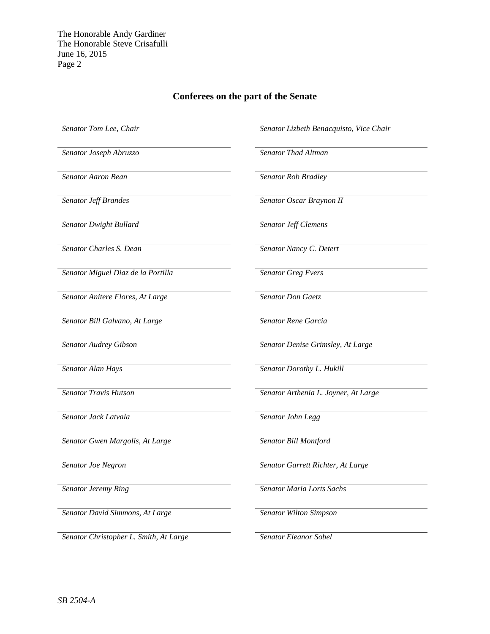The Honorable Andy Gardiner The Honorable Steve Crisafulli June 16, 2015 Page 2

## **Conferees on the part of the Senate**

*Senator Joseph Abruzzo Senator Thad Altman*

*Senator Dwight Bullard Senator Jeff Clemens*

*Senator Charles S. Dean Senator Nancy C. Detert*

*Senator Miguel Diaz de la Portilla Senator Greg Evers*

*Senator Anitere Flores, At Large Senator Don Gaetz*

*Senator Bill Galvano, At Large Senator Rene Garcia*

*Senator Jack Latvala Senator John Legg*

*Senator Gwen Margolis, At Large Senator Bill Montford*

*Senator David Simmons, At Large Senator Wilton Simpson*

*Senator Christopher L. Smith, At Large Senator Eleanor Sobel*

*Senator Tom Lee, Chair Senator Lizbeth Benacquisto, Vice Chair*

*Senator Aaron Bean Senator Rob Bradley*

*Senator Jeff Brandes Senator Oscar Braynon II*

*Senator Audrey Gibson Senator Denise Grimsley, At Large*

*Senator Alan Hays Senator Dorothy L. Hukill*

*Senator Travis Hutson Senator Arthenia L. Joyner, At Large*

*Senator Joe Negron Senator Garrett Richter, At Large*

*Senator Jeremy Ring Senator Maria Lorts Sachs*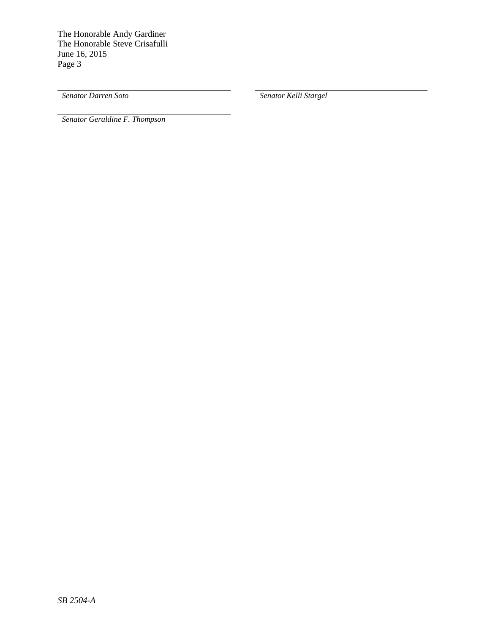The Honorable Andy Gardiner The Honorable Steve Crisafulli June 16, 2015 Page 3

*Senator Darren Soto Senator Kelli Stargel*

*Senator Geraldine F. Thompson*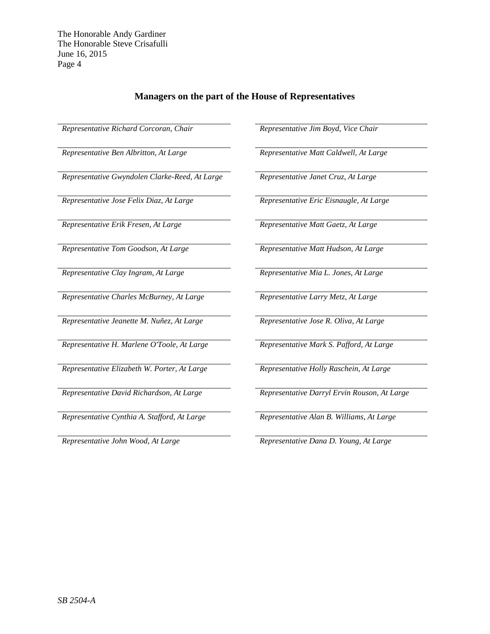## **Managers on the part of the House of Representatives**

*Representative Richard Corcoran, Chair Representative Jim Boyd, Vice Chair*

*Representative Gwyndolen Clarke-Reed, At Large Representative Janet Cruz, At Large*

*Representative Jose Felix Diaz, At Large Representative Eric Eisnaugle, At Large*

*Representative Erik Fresen, At Large Representative Matt Gaetz, At Large*

*Representative Tom Goodson, At Large Representative Matt Hudson, At Large*

*Representative Charles McBurney, At Large Representative Larry Metz, At Large*

*Representative Jeanette M. Nuñez, At Large Representative Jose R. Oliva, At Large*

*Representative H. Marlene O'Toole, At Large Representative Mark S. Pafford, At Large*

*Representative Elizabeth W. Porter, At Large Representative Holly Raschein, At Large*

*Representative Cynthia A. Stafford, At Large Representative Alan B. Williams, At Large*

*Representative Ben Albritton, At Large Representative Matt Caldwell, At Large*

*Representative Clay Ingram, At Large Representative Mia L. Jones, At Large*

*Representative David Richardson, At Large Representative Darryl Ervin Rouson, At Large*

*Representative John Wood, At Large Representative Dana D. Young, At Large*